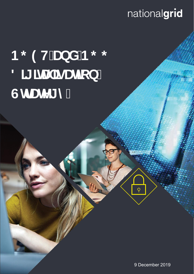## $R$  nationalgrid

# **12: 13 9 H'UbX'B; 13:** 8 II JHJ **JgU**jcb' **GIf UNT mi**



9 December 2019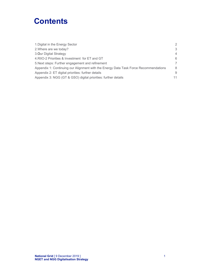### **Contents**

| 1. Digital in the Energy Sector                                                      | $\mathcal{P}$  |
|--------------------------------------------------------------------------------------|----------------|
| 2. Where are we today?                                                               | 3              |
| 3. Our Digital Strategy                                                              | 4              |
| 4. RIIO-2 Priorities & Investment for ET and GT                                      | 6              |
| 5. Next steps: Further engagement and refinement                                     | $\overline{7}$ |
| Appendix 1: Continuing our Alignment with the Energy Data Task Force Recommendations | 8              |
| Appendix 2: ET digital priorities: further details                                   | 9              |
| Appendix 3: NGG (GT & GSO) digital priorities: further details                       | 11             |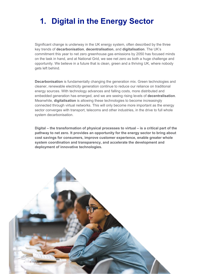### **1. Digital in the Energy Sector**

Significant change is underway in the UK energy system, often described by the three key trends of **decarbonisation**, **decentralisation**, and **digitalisation**. The UK's commitment this year to net zero greenhouse gas emissions by 2050 has focused minds on the task in hand, and at National Grid, we see net zero as both a huge challenge and opportunity. We believe in a future that is clean, green and a thriving UK, where nobody gets left behind.

**Decarbonisation** is fundamentally changing the generation mix. Green technologies and cleaner, renewable electricity generation continue to reduce our reliance on traditional energy sources. With technology advances and falling costs, more distributed and embedded generation has emerged, and we are seeing rising levels of **decentralisation**. Meanwhile, **digitalisation** is allowing these technologies to become increasingly connected through virtual networks. This will only become more important as the energy sector converges with transport, telecoms and other industries, in the drive to full whole system decarbonisation.

**Digital – the transformation of physical processes to virtual – is a critical part of the pathway to net zero. It provides an opportunity for the energy sector to bring about cost savings for consumers, improve customer experience, enable greater whole system coordination and transparency, and accelerate the development and deployment of innovative technologies.** 

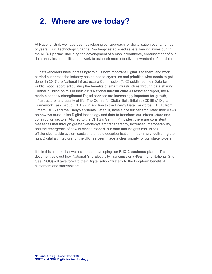### **2. Where are we today?**

At National Grid, we have been developing our approach for digitalisation over a number of years. Our 'Technology Change Roadmap' established several key initiatives during the **RIIO-1 period**, including the development of a mobile workforce, enhancement of our data analytics capabilities and work to establish more effective stewardship of our data.

Our stakeholders have increasingly told us how important Digital is to them, and work carried out across the industry has helped to crystallise and prioritise what needs to get done. In 2017 the National Infrastructure Commission (NIC) published their Data for Public Good report, articulating the benefits of smart infrastructure through data sharing. Further building on this in their 2018 National Infrastructure Assessment report, the NIC made clear how strengthened Digital services are increasingly important for growth, infrastructure, and quality of life. The Centre for Digital Built Britain's (CDBB's) Digital Framework Task Group (DFTG), in addition to the Energy Data Taskforce (EDTF) from Ofgem, BEIS and the Energy Systems Catapult, have since further articulated their views on how we must utilise Digital technology and data to transform our infrastructure and construction sectors. Aligned to the DFTG's Gemini Principles, there are consistent messages that through greater whole-system transparency, increased interoperability, and the emergence of new business models, our data and insights can unlock efficiencies, tackle system costs and enable decarbonisation. In summary, delivering the right Digital architecture for the UK has been made a clear priority for our stakeholders.

It is in this context that we have been developing our **RIIO-2 business plans**. This document sets out how National Grid Electricity Transmission (NGET) and National Grid Gas (NGG) will take forward their Digitalisation Strategy to the long-term benefit of customers and stakeholders.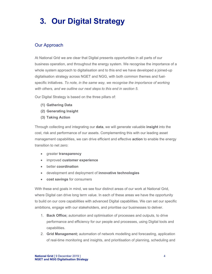### **3. Our Digital Strategy**

#### Our Approach

At National Grid we are clear that Digital presents opportunities in all parts of our business operation, and throughout the energy system. We recognise the importance of a whole system approach to digitalisation and to this end we have developed a joined-up digitalisation strategy across NGET and NGG, with both common themes and fuelspecific initiatives. *To note, in the same way, we recognise the importance of working with others, and we outline our next steps to this end in section 5.* 

Our Digital Strategy is based on the three pillars of:

- **(1) Gathering Data**
- **(2) Generating Insight**
- **(3) Taking Action**

Through collecting and integrating our **data**, we will generate valuable **insight** into the cost, risk and performance of our assets. Complementing this with our leading asset management capabilities, we can drive efficient and effective **action** to enable the energy transition to net zero:

- greater **transparency**
- improved **customer experience**
- better **coordination**
- development and deployment of **innovative technologies**
- **cost savings** for consumers

With these end goals in mind, we see four distinct areas of our work at National Grid, where Digital can drive long term value. In each of these areas we have the opportunity to build on our core capabilities with advanced Digital capabilities. We can set our specific ambitions, engage with our stakeholders, and prioritise our businesses to deliver.

- 1. **Back Office;** automation and optimisation of processes and outputs, to drive performance and efficiency for our people and processes, using Digital tools and capabilities.
- 2. **Grid Management;** automation of network modelling and forecasting, application of real-time monitoring and insights, and prioritisation of planning, scheduling and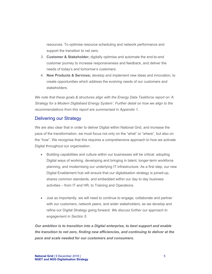resources. To optimise resource scheduling and network performance and support the transition to net zero.

- *3.* **Customer & Stakeholder;** digitally optimise and automate the end-to-end customer journey to increase responsiveness and feedback, and deliver the needs of today's and tomorrow's customers.
- 4. **New Products & Services;** develop and implement new ideas and innovation, to create opportunities which address the evolving needs of our customers and stakeholders.

*We note that these goals & structures align with the Energy Data Taskforce report on 'A Strategy for a Modern Digitalised Energy System'. Further detail on how we align to the recommendations from this report are summarised in Appendix 1.* 

#### Delivering our Strategy

We are also clear that in order to deliver Digital within National Grid, and increase the pace of the transformation, we must focus not only on the "what" or "where", but also on the "how". We recognise that this requires a comprehensive approach to how we activate Digital throughout our organisation.

- Building capabilities and culture within our businesses will be critical: adopting Digital ways of working, developing and bringing in talent, longer-term workforce planning, and modernising our underlying IT infrastructure. As a first step, our new Digital Enablement hub will ensure that our digitalisation strategy is joined-up, shares common standards, and embedded within our day to day business activities – from IT and HR, to Training and Operations.
- Just as importantly, we will need to continue to engage, collaborate and partner with our customers, network peers, and wider stakeholders, as we develop and refine our Digital Strategy going forward. *We discuss further our approach to engagement in Section 5.*

*Our ambition is to transition into a Digital enterprise, to best support and enable the transition to net zero, finding new efficiencies, and continuing to deliver at the pace and scale needed for our customers and consumers.*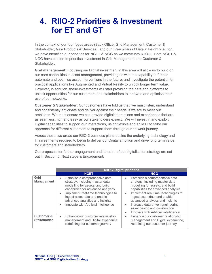### **4. RIIO-2 Priorities & Investment for ET and GT**

In the context of our four focus areas (Back Office; Grid Management; Customer & Stakeholder; New Products & Services), and our three pillars of Data > Insight > Action, we have identified our priorities for NGET & NGG as we move into RIIO-2. Both NGET & NGG have chosen to prioritise investment in Grid Management and Customer & Stakeholder.

**Grid management:** Focusing our Digital investment in this area will allow us to build on our core capabilities in asset management, providing us with the capability to further automate and optimise asset interventions in the future, and investigate the potential for practical applications like Augmented and Virtual Reality to unlock longer term value. However, in addition, these investments will start providing the data and platforms to unlock opportunities for our customers and stakeholders to innovate and optimise their use of our networks.

**Customer & Stakeholder:** Our customers have told us that 'we must listen, understand and consistently anticipate and deliver against their needs' if we are to meet our ambitions. We must ensure we can provide digital interactions and experiences that are as seamless, rich and easy as our stakeholders expect. We will invest in and exploit Digital capabilities to support our interactions, using flexible and agile IT to tailor our approach for different customers to support them through our network journey.

Across these two areas our RIIO-2 business plans outline the underlying technology and IT investments required to begin to deliver our Digital ambition and drive long term value for customers and stakeholders.

Our proposals for further engagement and iteration of our digitalisation strategy are set out in Section 5: Next steps & Engagement.

|                                             | <b>RIIO-2 Digital priorities</b>                                                                                                                                                                                                                                                                                                      |                                                                                                                                                                                                                                                                                                                                                                                                |
|---------------------------------------------|---------------------------------------------------------------------------------------------------------------------------------------------------------------------------------------------------------------------------------------------------------------------------------------------------------------------------------------|------------------------------------------------------------------------------------------------------------------------------------------------------------------------------------------------------------------------------------------------------------------------------------------------------------------------------------------------------------------------------------------------|
|                                             | <b>NGET</b>                                                                                                                                                                                                                                                                                                                           | <b>NGG</b>                                                                                                                                                                                                                                                                                                                                                                                     |
| Grid<br><b>Management</b>                   | Establish a comprehensive data<br>$\bullet$<br>strategy, including master data<br>modelling for assets, and build<br>capabilities for advanced analytics<br>Implement real-time technologies to<br>$\bullet$<br>ingest asset data and enable<br>advanced analytics and insights<br>Innovate with Artificial intelligence<br>$\bullet$ | Establish a comprehensive data<br>strategy, including master data<br>modelling for assets, and build<br>capabilities for advanced analytics<br>Implement real-time technologies to<br>ingest asset data and enable<br>advanced analytics and insights<br>Increase data-driven engineering,<br>$\bullet$<br>asset design and construction<br>Innovate with Artificial intelligence<br>$\bullet$ |
| <b>Customer &amp;</b><br><b>Stakeholder</b> | Enhance our customer relationship<br>$\bullet$<br>management and Digital experience,<br>redefining our customer journey                                                                                                                                                                                                               | Enhance our customer relationship<br>$\bullet$<br>management and Digital experience,<br>redefining our customer journey                                                                                                                                                                                                                                                                        |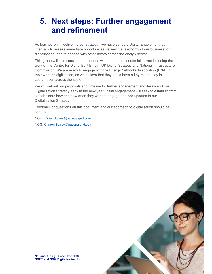### **5. Next steps: Further engagement and refinement**

As touched on in 'delivering our strategy', we have set up a Digital Enablement team internally to assess immediate opportunities, review the taxonomy of our business for digitalisation, and to engage with other actors across the energy sector.

This group will also consider interactions with other cross-sector initiatives including the work of the Centre for Digital Built Britain, UK Digital Strategy and National Infrastructure Commission. We are ready to engage with the Energy Networks Association (ENA) in their work on digitisation, as we believe that they could have a key role to play in coordination across the sector.

We will set out our proposals and timeline for further engagement and iteration of our Digitalisation Strategy early in the new year. Initial engagement will seek to establish from stakeholders how and how often they want to engage and see updates to our Digitalisation Strategy.

Feedback or questions on this document and our approach to digitalisation should be sent to:

NGET: Gary.Stokes@nationalgrid.com

NGG: Charon.Balrey@nationalgrid.com



**National Grid** [ 9 December 2019 ] **NGET and NGG Digitalisation Strategy**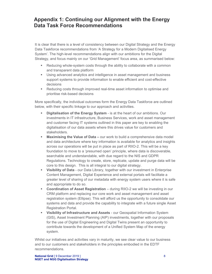#### **Appendix 1: Continuing our Alignment with the Energy Data Task Force Recommendations**

It is clear that there is a level of consistency between our Digital Strategy and the Energy Data Taskforce recommendations from 'A Strategy for a Modern Digitalised Energy System'. The high-level recommendations align with our ambitions for the Digital Strategy, and focus mainly on our 'Grid Management' focus area, as summarised below:

- Reducing whole-system costs through the ability to collaborate with a common and transparent data platform
- Using advanced analytics and intelligence in asset management and business support systems to provide information to enable efficient and cost-effective decisions
- **Reducing costs through improved real-time asset information to optimise and** prioritise risk-based decisions

More specifically, the individual outcomes form the Energy Data Taskforce are outlined below, with their specific linkage to our approach and activities.

- **Digitalisation of the Energy System** is at the heart of our ambitions. Our investments in IT infrastructure, Business Services, work and asset management and customer facing IT systems outlined in this paper are key to enabling the digitalisation of our data assets where this drives value for customers and stakeholders.
- **Maximising the Value of Data –** our work to build a comprehensive data model and data architecture where key information is available for analytics and insights across our operations will be put in place as part of RIIO-2. This will be a key foundation to move to a 'presumed open' principle, where data is discoverable, searchable and understandable, with due regard to the NIS and GDPR Regulations. Technology to create, store, replicate, update and purge data will be core to this design. This is all integral to our digital strategy.
- **Visibility of Data** our Data Library, together with our investment in Enterprise Content Management, Digital Experience and external portals will facilitate a greater level of sharing of our metadata with energy system users where it is safe and appropriate to do so.
- **Coordination of Asset Registration** during RIIO-2 we will be investing in our CRM platform and replacing our core work and asset management and asset registration system (Ellipse). This will afford us the opportunity to consolidate our systems and data and provide the capability to integrate with a future single Asset Registration Portal.
- **Visibility of Infrastructure and Assets** our Geospatial Information System (GIS), Asset Investment Planning (AIP) investments, together with our proposals for the use of Digital Engineering and Digital Twins present an opportunity to contribute towards the development of a Unified System Map of the energy system.

Whilst our initiatives and activities vary in maturity, we see clear value to our business and to our customers and stakeholders in the principles embodied in the EDTF recommendations.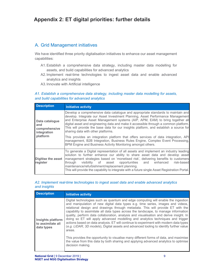#### A. Grid Management initiatives

We have identified three priority digitalisation initiatives to enhance our asset management capabilities:

- A1. Establish a comprehensive data strategy, including master data modelling for assets, and build capabilities for advanced analytics
- A2. Implement real-time technologies to ingest asset data and enable advanced analytics and insights
- A3. Innovate with Artificial intelligence

#### *A1. Establish a comprehensive data strategy, including master data modelling for assets, and build capabilities for advanced analytics*

| <b>Description</b>                                                | Initiative activity                                                                                                                                                                                                                                                                                                                                                                                                                                                                                                                                                                                                                                                                                               |
|-------------------------------------------------------------------|-------------------------------------------------------------------------------------------------------------------------------------------------------------------------------------------------------------------------------------------------------------------------------------------------------------------------------------------------------------------------------------------------------------------------------------------------------------------------------------------------------------------------------------------------------------------------------------------------------------------------------------------------------------------------------------------------------------------|
| Data catalogue<br>and<br>comprehensive<br>integration<br>platform | Develop a comprehensive data catalogue and appropriate standards to maintain and<br>develop. Integrate our Asset Investment Planning, Asset Performance Management<br>and Enterprise Asset Management systems (AIP, APM, EAM) to bring together all<br>digital asset and engineering data and make it accessible through a common platform.<br>This will provide the base data for our insights platform, and establish a source for<br>sharing data with other platforms.<br>This provides an integration platform that offers services of data integration, API<br>management, B2B Integration, Business Rules Engine, Complex Event Processing,<br>BPM Engine and Business Activity Monitoring amongst others. |
| Digitise the asset<br>register                                    | To generate a Digital representation of all assets and implement an industry leading<br>solution to further enhance our ability to share asset data and develop asset<br>management strategies based on 'monetised risk', delivering benefits to customers<br>visibility of asset opportunities and enhanced<br>risk-based<br>through<br>maintenance/refurbishment/replacement planning.<br>This will provide the capability to integrate with a future single Asset Registration Portal.                                                                                                                                                                                                                         |

#### *A2. Implement real-time technologies to ingest asset data and enable advanced analytics and insights*

| <b>Description</b>                                   | <b>Initiative activity</b>                                                                                                                                                                                                                                                                                                                                                                                                                                                                                                                                                                                                                                                                                                                                                                                                                                                                                                  |
|------------------------------------------------------|-----------------------------------------------------------------------------------------------------------------------------------------------------------------------------------------------------------------------------------------------------------------------------------------------------------------------------------------------------------------------------------------------------------------------------------------------------------------------------------------------------------------------------------------------------------------------------------------------------------------------------------------------------------------------------------------------------------------------------------------------------------------------------------------------------------------------------------------------------------------------------------------------------------------------------|
| Insights platform<br>to assimilate all<br>data types | Digital technologies such as quantum and edge computing will enable the ingestion<br>and manipulation of new digital data types e.g. time series, images and videos,<br>relational design and drawings through metadata. This will provide ET with the<br>capability to assimilate all data types across the landscape, to manage information<br>quality, perform data collaboration, analysis and visualisation and derive insight. In<br>doing so ET will apply advanced modelling and analytics techniques and trigger<br>actions based on data analysis. ET will continue to experiment with modern data types<br>(e.g. LIDAR, 3D models), Digital assets and advanced tooling to identify further value<br>areas.<br>This provides the opportunity to visualise many different forms of data, and maximise<br>the value from this data by both sharing and applying advanced analytics to optimise<br>decision making. |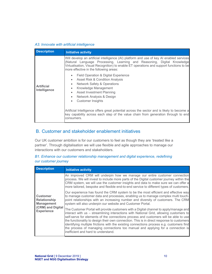#### *A3. Innovate with artificial intelligence*

| <b>Description</b>                | <b>Initiative activity</b>                                                                                                                                                                                                                                                                                                                                                                                                                                                                                                                                                      |
|-----------------------------------|---------------------------------------------------------------------------------------------------------------------------------------------------------------------------------------------------------------------------------------------------------------------------------------------------------------------------------------------------------------------------------------------------------------------------------------------------------------------------------------------------------------------------------------------------------------------------------|
| <b>Artificial</b><br>Intelligence | Will develop an artificial intelligence (AI) platform and use of key AI enabled services<br>(Natural Language Processing, Learning and Reasoning, Digital Knowledge<br>Virtualisation, Visual Recognition) to enable ET operations and support functions to be<br>more effective in the following areas:<br>Field Operation & Digital Experience<br>Asset Risk & Condition Analysis<br><b>Network Safety &amp; Operations</b><br>Knowledge Management<br>٠<br>Asset Investment Planning<br>$\bullet$<br>Network Analysis & Design<br>$\bullet$<br><b>Customer Insights</b><br>٠ |
|                                   | Artificial Intelligence offers great potential across the sector and is likely to become a<br>key capability across each step of the value chain from generation through to end<br>consumers.                                                                                                                                                                                                                                                                                                                                                                                   |

#### B. Customer and stakeholder enablement initiatives

Our UK customer ambition is for our customers to feel as though they are 'treated like a partner'. Through digitalisation we will use flexible and agile approaches to manage our interactions with our customers and stakeholders.

#### *B1. Enhance our customer relationship management and digital experience, redefining our customer journey*

| <b>Description</b>                                          | <b>Initiative activity</b>                                                                                                                                                                                                                                                                                                                                                                                                                                                                                                                                                                 |
|-------------------------------------------------------------|--------------------------------------------------------------------------------------------------------------------------------------------------------------------------------------------------------------------------------------------------------------------------------------------------------------------------------------------------------------------------------------------------------------------------------------------------------------------------------------------------------------------------------------------------------------------------------------------|
|                                                             | An improved CRM will underpin how we manage our entire customer connection<br>process. We will invest to include more parts of the Digital customer journey within the<br>CRM system, we will use the customer insights and data to make sure we can offer a<br>more tailored, bespoke and flexible end-to-end service to different types of customers.                                                                                                                                                                                                                                    |
| <b>Customer</b><br><b>Relationship</b><br><b>Management</b> | Our experience has found the CRM system to be the most efficient and effective way<br>to manage customer data and processes, enabling us to manage complex multi touch-<br>point relationships with an increasing number and diversity of customers. The CRM<br>system will also underpin our website and Customer Portal.                                                                                                                                                                                                                                                                 |
| (CRM) and Digital<br><b>Experience</b>                      | The Customer Portal will provide customers with a Digital channel to apply/manage and<br>interact with us – streamlining interactions with National Grid, allowing customers to<br>self-serve for elements of the connections process and customers will be able to use<br>the functionality to design their own connection. This is in direct response to customers<br>identifying multiple frictions with the existing connections process e.g. customers find<br>the process of managing connections too manual and applying for a connection is<br>inefficient and hard to understand. |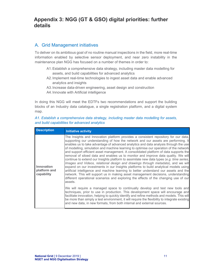#### **Appendix 3: NGG (GT & GSO) digital priorities: further details**

#### A. Grid Management initiatives

To deliver on its ambitious goal of no routine manual inspections in the field, more real-time information enabled by selective sensor deployment, and near zero instability in the maintenance plan NGG has focused on a number of themes in order to:

- A1. Establish a comprehensive data strategy, including master data modelling for assets, and build capabilities for advanced analytics
- A2. Implement real-time technologies to ingest asset data and enable advanced analytics and insights
- A3. Increase data-driven engineering, asset design and construction
- A4. Innovate with Artificial intelligence

In doing this NGG will meet the EDTFs two recommendations and support the building blocks of an Industry data catalogue, a single registration platform, and a digital system map.

#### *A1. Establish a comprehensive data strategy, including master data modelling for assets, and build capabilities for advanced analytics*

| <b>Description</b>                       | <b>Initiative activity</b>                                                                                                                                                                                                                                                                                                                                                                                                                                                                                                                                                                                                                                                                                                                                                                                                                                                                                                                                                                                                                                                                       |
|------------------------------------------|--------------------------------------------------------------------------------------------------------------------------------------------------------------------------------------------------------------------------------------------------------------------------------------------------------------------------------------------------------------------------------------------------------------------------------------------------------------------------------------------------------------------------------------------------------------------------------------------------------------------------------------------------------------------------------------------------------------------------------------------------------------------------------------------------------------------------------------------------------------------------------------------------------------------------------------------------------------------------------------------------------------------------------------------------------------------------------------------------|
| Innovation<br>platform and<br>capability | The Insights and Innovation platform provides a consistent repository for our data,<br>supporting our understanding of how the network and our assets are performing. It<br>enables us to take advantage of advanced analytics and data analysis through the use<br>of modelling, simulation and machine learning to optimise our operation of the network<br>and support efficient asset management. A consolidated platform of data supports the<br>removal of siloed data and enables us to monitor and improve data quality. We will<br>continue to extend our Insights platform to assimilate new data types (e.g. time series,<br>Images and Videos, relational design and drawings through metadata), and we will<br>expand on our investments in our Insights platforms to build analytical models using<br>artificial intelligence and machine learning to better understand our assets and the<br>network. This will support us in making asset management decisions, understanding<br>different operational scenarios and exploring the effects of the changing use of our<br>assets. |
|                                          | We will require a managed space to continually develop and test new tools and<br>techniques, prior to use in production. This development space will encourage and<br>facilitate innovation, helping to quickly identify and refine methods and models. This will<br>be more than simply a test environment, it will require the flexibility to integrate existing<br>and new data, in new formats, from both internal and external sources.                                                                                                                                                                                                                                                                                                                                                                                                                                                                                                                                                                                                                                                     |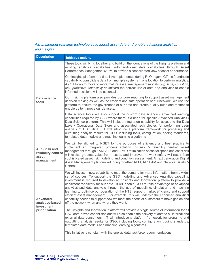#### *A2. Implement real-time technologies to ingest asset data and enable advanced analytics and insights*

| <b>Description</b>                                           | <b>Initiative activity</b>                                                                                                                                                                                                                                                                                                                                                                                                                                                                                                                                                                                                                                                                                                                                      |
|--------------------------------------------------------------|-----------------------------------------------------------------------------------------------------------------------------------------------------------------------------------------------------------------------------------------------------------------------------------------------------------------------------------------------------------------------------------------------------------------------------------------------------------------------------------------------------------------------------------------------------------------------------------------------------------------------------------------------------------------------------------------------------------------------------------------------------------------|
|                                                              | These tools will bring together and build on the foundations of the Insights platform and<br>existing analytics capabilities, with additional data capabilities through Asset<br>Performance Management (APM) to provide a consolidated view of asset performance.                                                                                                                                                                                                                                                                                                                                                                                                                                                                                              |
|                                                              | Our Insights platform and data lake implemented during RIIO-1 gave GT the foundation<br>capability to consolidate data from multiple systems in one location to perform analytics.<br>As GT looks to move to more mature asset management models (e.g. time, condition,<br>risk, predictive, financially optimised) the correct use of data and analytics to enable<br>informed decisions will be essential                                                                                                                                                                                                                                                                                                                                                     |
| Data science<br>tools                                        | Our Insights platform also provides our core reporting to support asset management<br>decision making as well as the efficient and safe operation of our network. We use the<br>platform to ensure the governance of our data and create quality rules and metrics to<br>enable us to improve our datasets.                                                                                                                                                                                                                                                                                                                                                                                                                                                     |
|                                                              | Data science tools will also support the custom data science / advanced learning<br>capabilities required by GSO where there is a need for specific Advanced Analytics /<br>Data Science platform. This will include integration capability for access to the Data<br>Lake / Operational Data Store and associated technologies for performing deep<br>analysis of GSO data. IT will introduce a platform framework for preparing and<br>outputting analysis results for GSO, including tools, configuration, coding standards,<br>templated data models and machine learning algorithms                                                                                                                                                                        |
| AIP - risk and<br>reliability centred<br>asset<br>management | We will be aligned to NGET for the purposes of efficiency and best practice to<br>implement an integrated process solution for risk & reliability centred asset<br>management through EAM, AIP, and APM. Optimisation of capital spend and asset risk<br>will realise greatest value from assets, and improved network safety will result from<br>sophisticated asset risk modelling and condition assessment. A next generation Digital<br>Asset Management platform will bring together APM, AIP EAM and Network Safety &<br>Control.                                                                                                                                                                                                                         |
| <b>Advanced</b><br>analytics-based<br>investment             | We will invest in new capability to meet the demand for more information, from a wider<br>set of sources. To support the GSO modelling and Advanced Analytics capability,<br>investment is required to develop an 'Insights and Innovation' platform to provide a<br>consistent repository for our data. It will enable GSO to take advantage of advanced<br>analytics and data analysis through the use of modelling, simulation and machine<br>learning to optimise our operation of the NTS, support market efficiency and support<br>efficient asset management. For example, this will underpin the enhanced analytical<br>capability needed to support how we meet the needs of customers to move gas on and<br>off the network when and where they want. |
| prioritization                                               | The 'Insights and Innovation' platform will provide a single source of information for all<br>GSO data-driven capabilities and will also enable the delivery of data to all internal and<br>external data consumers. IT will introduce a platform framework for preparing and<br>outputting analysis results for GSO, including tools, configuration, coding standards,<br>templated data models and machine learning algorithms.                                                                                                                                                                                                                                                                                                                               |
|                                                              | This initiative is constant with the energy data taskforce recommendations.                                                                                                                                                                                                                                                                                                                                                                                                                                                                                                                                                                                                                                                                                     |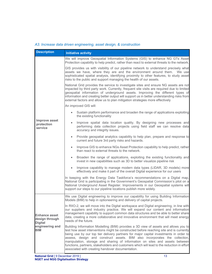#### *A3. Increase data driven engineering, asset design, & construction*

| <b>Description</b>                                       | <b>Initiative activity</b>                                                                                                                                                                                                                                                                                                                                                                                                                                                                                                                                                              |
|----------------------------------------------------------|-----------------------------------------------------------------------------------------------------------------------------------------------------------------------------------------------------------------------------------------------------------------------------------------------------------------------------------------------------------------------------------------------------------------------------------------------------------------------------------------------------------------------------------------------------------------------------------------|
|                                                          | We will improve Geospatial Information Systems (GIS) to enhance NG GTs Asset<br>Protection capability to help predict, rather than react to external threats to the network.                                                                                                                                                                                                                                                                                                                                                                                                            |
|                                                          | GIS provides us with visibility of our pipeline network to understand precisely what<br>assets we have, where they are and the environment around them. We use<br>sophisticated spatial analysis, identifying proximity to other features, to study asset<br>risks to the public and support managing the health of our assets.                                                                                                                                                                                                                                                         |
|                                                          | National Grid provides the service to investigate sites and ensure NG assets are not<br>impacted by third party work. Currently, frequent site visits are required due to limited<br>geospatial information of underground assets. Improving the different types of<br>information and creating better output will support us in better understanding risks from<br>external factors and allow us to plan mitigation strategies more effectively                                                                                                                                        |
|                                                          | An improved GIS will:                                                                                                                                                                                                                                                                                                                                                                                                                                                                                                                                                                   |
|                                                          | Sustain platform performance and broaden the range of applications exploiting<br>$\bullet$<br>the existing functionality                                                                                                                                                                                                                                                                                                                                                                                                                                                                |
| <b>Improve asset</b><br>protection<br>service            | Improve spatial data location quality. By designing new processes and<br>$\bullet$<br>performing data collection projects using field staff we can resolve data<br>accuracy and integrity issues.                                                                                                                                                                                                                                                                                                                                                                                       |
|                                                          | Provide geospatial analytics capability to help plan, prepare and response to<br>$\bullet$<br>current and future 3rd party risks and hazards.                                                                                                                                                                                                                                                                                                                                                                                                                                           |
|                                                          | Improve GIS to enhance NGs Asset Protection capability to help predict, rather<br>$\bullet$<br>than react to external threats to the network.                                                                                                                                                                                                                                                                                                                                                                                                                                           |
|                                                          | Broaden the range of applications, exploiting the existing functionality and<br>$\bullet$<br>invest in new capabilities such as 3D to better visualize pipeline risk                                                                                                                                                                                                                                                                                                                                                                                                                    |
|                                                          | Improve capability to manage modern data types (LIDAR, 3D models) more<br>effectively and make it part of the overall Digital experience for our users                                                                                                                                                                                                                                                                                                                                                                                                                                  |
|                                                          | In keeping with the Energy Data Taskforce's recommendations on a Digital map,<br>National Grid is participating in the Government's Geospatial Commission's pilot on a<br>National Underground Asset Register. Improvements in our Geospatial systems will<br>support our steps to our pipeline locations publish more widely.                                                                                                                                                                                                                                                          |
|                                                          | We use Digital engineering to improve our capability for using Building Information<br>Models (BIM) to help in optioneering and delivery of capital projects.                                                                                                                                                                                                                                                                                                                                                                                                                           |
| <b>Enhance asset</b><br>design through<br><b>Digital</b> | In RIIO-2, we will move into the Digital workspace and Digital engineering, in line with<br>our suppliers and industry practice. We will expand our content and information<br>management capability to support common data structures and be able to better share<br>data, creating a more collaborative and innovative environment that will meet energy<br>needs of the future.                                                                                                                                                                                                      |
| engineering and<br><b>BIM</b>                            | Building Information Modelling (BIM) provides a 3D view of assets and allows you to<br>test how asset interventions might be constructed before reaching site and is currently<br>being use by our top tier delivery partners for major capital investments in order to<br>assess, design and construct assets. BIM also incorporates the collection,<br>manipulation, storage and sharing of information on sites and assets between<br>functions, partners, stakeholders and customers which will lead to the reduction in effort<br>associated with creating handover documentation. |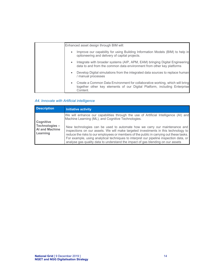| Enhanced asset design through BIM will:                                                                                                                               |
|-----------------------------------------------------------------------------------------------------------------------------------------------------------------------|
| Improve our capability for using Building Information Models (BIM) to help in<br>optioneering and delivery of capital projects.                                       |
| Integrate with broader systems (AIP, APM, EAM) bringing Digital Engineering<br>data to and from the common data environment from other key platforms                  |
| Develop Digital simulations from the integrated data sources to replace human<br>٠<br>/ manual processes                                                              |
| Create a Common Data Environment for collaborative working, which will bring<br>together other key elements of our Digital Platform, including Enterprise<br>Content. |

#### *A4. Innovate with Artificial intelligence*

| <b>Description</b>                                 | <b>Initiative activity</b>                                                                                                                                                                                                                                                                                                                                                                                                              |
|----------------------------------------------------|-----------------------------------------------------------------------------------------------------------------------------------------------------------------------------------------------------------------------------------------------------------------------------------------------------------------------------------------------------------------------------------------------------------------------------------------|
| Cognitive                                          | We will enhance our capabilities through the use of Artificial Intelligence (AI) and<br>Machine Learning (ML), and Cognitive Technologies.                                                                                                                                                                                                                                                                                              |
| Technologies-<br><b>Al and Machine</b><br>Learning | New technologies can be used to automate how we carry our maintenance and<br>inspections on our assets. We will make targeted investments in this technology to<br>reduce the risks to our employees or members of the public in carrying out these tasks.<br>For example, using analytical techniques to interpret our pipeline inspection data, or<br>analyse gas quality data to understand the impact of gas blending on our assets |